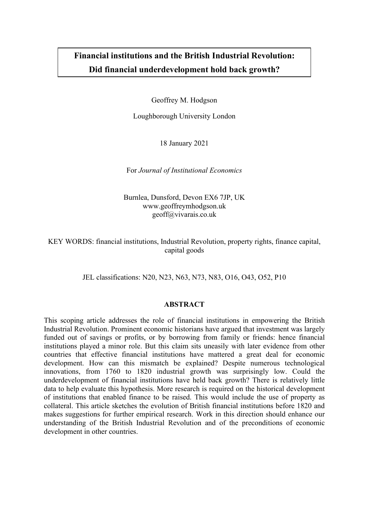# **Financial institutions and the British Industrial Revolution: Did financial underdevelopment hold back growth?**

Geoffrey M. Hodgson

Loughborough University London

18 January 2021

For *Journal of Institutional Economics*

## Burnlea, Dunsford, Devon EX6 7JP, UK www.geoffreymhodgson.uk geoff@vivarais.co.uk

KEY WORDS: financial institutions, Industrial Revolution, property rights, finance capital, capital goods

JEL classifications: N20, N23, N63, N73, N83, O16, O43, O52, P10

#### **ABSTRACT**

This scoping article addresses the role of financial institutions in empowering the British Industrial Revolution. Prominent economic historians have argued that investment was largely funded out of savings or profits, or by borrowing from family or friends: hence financial institutions played a minor role. But this claim sits uneasily with later evidence from other countries that effective financial institutions have mattered a great deal for economic development. How can this mismatch be explained? Despite numerous technological innovations, from 1760 to 1820 industrial growth was surprisingly low. Could the underdevelopment of financial institutions have held back growth? There is relatively little data to help evaluate this hypothesis. More research is required on the historical development of institutions that enabled finance to be raised. This would include the use of property as collateral. This article sketches the evolution of British financial institutions before 1820 and makes suggestions for further empirical research. Work in this direction should enhance our understanding of the British Industrial Revolution and of the preconditions of economic development in other countries.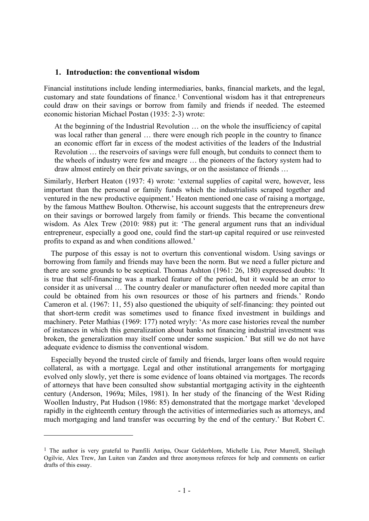#### **1. Introduction: the conventional wisdom**

Financial institutions include lending intermediaries, banks, financial markets, and the legal, customary and state foundations of finance.[1](#page-1-0) Conventional wisdom has it that entrepreneurs could draw on their savings or borrow from family and friends if needed. The esteemed economic historian Michael Postan (1935: 2-3) wrote:

At the beginning of the Industrial Revolution … on the whole the insufficiency of capital was local rather than general … there were enough rich people in the country to finance an economic effort far in excess of the modest activities of the leaders of the Industrial Revolution … the reservoirs of savings were full enough, but conduits to connect them to the wheels of industry were few and meagre … the pioneers of the factory system had to draw almost entirely on their private savings, or on the assistance of friends …

Similarly, Herbert Heaton (1937: 4) wrote: 'external supplies of capital were, however, less important than the personal or family funds which the industrialists scraped together and ventured in the new productive equipment.' Heaton mentioned one case of raising a mortgage, by the famous Matthew Boulton. Otherwise, his account suggests that the entrepreneurs drew on their savings or borrowed largely from family or friends. This became the conventional wisdom. As Alex Trew (2010: 988) put it: 'The general argument runs that an individual entrepreneur, especially a good one, could find the start-up capital required or use reinvested profits to expand as and when conditions allowed.'

The purpose of this essay is not to overturn this conventional wisdom. Using savings or borrowing from family and friends may have been the norm. But we need a fuller picture and there are some grounds to be sceptical. Thomas Ashton (1961: 26, 180) expressed doubts: 'It is true that self-financing was a marked feature of the period, but it would be an error to consider it as universal … The country dealer or manufacturer often needed more capital than could be obtained from his own resources or those of his partners and friends.' Rondo Cameron et al. (1967: 11, 55) also questioned the ubiquity of self-financing: they pointed out that short-term credit was sometimes used to finance fixed investment in buildings and machinery. Peter Mathias (1969: 177) noted wryly: 'As more case histories reveal the number of instances in which this generalization about banks not financing industrial investment was broken, the generalization may itself come under some suspicion.' But still we do not have adequate evidence to dismiss the conventional wisdom.

Especially beyond the trusted circle of family and friends, larger loans often would require collateral, as with a mortgage. Legal and other institutional arrangements for mortgaging evolved only slowly, yet there is some evidence of loans obtained via mortgages. The records of attorneys that have been consulted show substantial mortgaging activity in the eighteenth century (Anderson, 1969a; Miles, 1981). In her study of the financing of the West Riding Woollen Industry, Pat Hudson (1986: 85) demonstrated that the mortgage market 'developed rapidly in the eighteenth century through the activities of intermediaries such as attorneys, and much mortgaging and land transfer was occurring by the end of the century.' But Robert C.

<span id="page-1-0"></span><sup>&</sup>lt;sup>1</sup> The author is very grateful to Pamfili Antipa, Oscar Gelderblom, Michelle Liu, Peter Murrell, Sheilagh Ogilvie, Alex Trew, Jan Luiten van Zanden and three anonymous referees for help and comments on earlier drafts of this essay.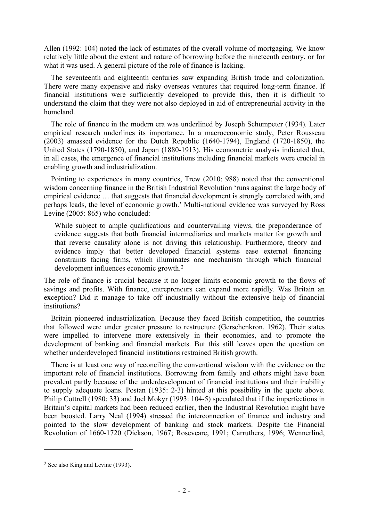Allen (1992: 104) noted the lack of estimates of the overall volume of mortgaging. We know relatively little about the extent and nature of borrowing before the nineteenth century, or for what it was used. A general picture of the role of finance is lacking.

The seventeenth and eighteenth centuries saw expanding British trade and colonization. There were many expensive and risky overseas ventures that required long-term finance. If financial institutions were sufficiently developed to provide this, then it is difficult to understand the claim that they were not also deployed in aid of entrepreneurial activity in the homeland.

The role of finance in the modern era was underlined by Joseph Schumpeter (1934). Later empirical research underlines its importance. In a macroeconomic study, Peter Rousseau (2003) amassed evidence for the Dutch Republic (1640-1794), England (1720-1850), the United States (1790-1850), and Japan (1880-1913). His econometric analysis indicated that, in all cases, the emergence of financial institutions including financial markets were crucial in enabling growth and industrialization.

Pointing to experiences in many countries, Trew (2010: 988) noted that the conventional wisdom concerning finance in the British Industrial Revolution 'runs against the large body of empirical evidence … that suggests that financial development is strongly correlated with, and perhaps leads, the level of economic growth.' Multi-national evidence was surveyed by Ross Levine (2005: 865) who concluded:

While subject to ample qualifications and countervailing views, the preponderance of evidence suggests that both financial intermediaries and markets matter for growth and that reverse causality alone is not driving this relationship. Furthermore, theory and evidence imply that better developed financial systems ease external financing constraints facing firms, which illuminates one mechanism through which financial development influences economic growth.[2](#page-2-0)

The role of finance is crucial because it no longer limits economic growth to the flows of savings and profits. With finance, entrepreneurs can expand more rapidly. Was Britain an exception? Did it manage to take off industrially without the extensive help of financial institutions?

Britain pioneered industrialization. Because they faced British competition, the countries that followed were under greater pressure to restructure (Gerschenkron, 1962). Their states were impelled to intervene more extensively in their economies, and to promote the development of banking and financial markets. But this still leaves open the question on whether underdeveloped financial institutions restrained British growth.

There is at least one way of reconciling the conventional wisdom with the evidence on the important role of financial institutions. Borrowing from family and others might have been prevalent partly because of the underdevelopment of financial institutions and their inability to supply adequate loans. Postan (1935: 2-3) hinted at this possibility in the quote above. Philip Cottrell (1980: 33) and Joel Mokyr (1993: 104-5) speculated that if the imperfections in Britain's capital markets had been reduced earlier, then the Industrial Revolution might have been boosted. Larry Neal (1994) stressed the interconnection of finance and industry and pointed to the slow development of banking and stock markets. Despite the Financial Revolution of 1660-1720 (Dickson, 1967; Roseveare, 1991; Carruthers, 1996; Wennerlind,

<span id="page-2-0"></span><sup>2</sup> See also King and Levine (1993).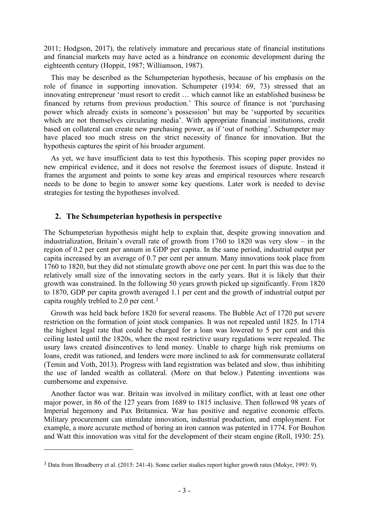2011; Hodgson, 2017), the relatively immature and precarious state of financial institutions and financial markets may have acted as a hindrance on economic development during the eighteenth century (Hoppit, 1987; Williamson, 1987).

This may be described as the Schumpeterian hypothesis, because of his emphasis on the role of finance in supporting innovation. Schumpeter (1934: 69, 73) stressed that an innovating entrepreneur 'must resort to credit … which cannot like an established business be financed by returns from previous production.' This source of finance is not 'purchasing power which already exists in someone's possession' but may be 'supported by securities which are not themselves circulating media'. With appropriate financial institutions, credit based on collateral can create new purchasing power, as if 'out of nothing'. Schumpeter may have placed too much stress on the strict necessity of finance for innovation. But the hypothesis captures the spirit of his broader argument.

As yet, we have insufficient data to test this hypothesis. This scoping paper provides no new empirical evidence, and it does not resolve the foremost issues of dispute. Instead it frames the argument and points to some key areas and empirical resources where research needs to be done to begin to answer some key questions. Later work is needed to devise strategies for testing the hypotheses involved.

## **2. The Schumpeterian hypothesis in perspective**

The Schumpeterian hypothesis might help to explain that, despite growing innovation and industrialization, Britain's overall rate of growth from 1760 to 1820 was very slow – in the region of 0.2 per cent per annum in GDP per capita. In the same period, industrial output per capita increased by an average of 0.7 per cent per annum. Many innovations took place from 1760 to 1820, but they did not stimulate growth above one per cent. In part this was due to the relatively small size of the innovating sectors in the early years. But it is likely that their growth was constrained. In the following 50 years growth picked up significantly. From 1820 to 1870, GDP per capita growth averaged 1.1 per cent and the growth of industrial output per capita roughly trebled to 2.0 per cent.[3](#page-3-0)

Growth was held back before 1820 for several reasons. The Bubble Act of 1720 put severe restriction on the formation of joint stock companies. It was not repealed until 1825. In 1714 the highest legal rate that could be charged for a loan was lowered to 5 per cent and this ceiling lasted until the 1820s, when the most restrictive usury regulations were repealed. The usury laws created disincentives to lend money. Unable to charge high risk premiums on loans, credit was rationed, and lenders were more inclined to ask for commensurate collateral (Temin and Voth, 2013). Progress with land registration was belated and slow, thus inhibiting the use of landed wealth as collateral. (More on that below.) Patenting inventions was cumbersome and expensive.

Another factor was war. Britain was involved in military conflict, with at least one other major power, in 86 of the 127 years from 1689 to 1815 inclusive. Then followed 98 years of Imperial hegemony and Pax Britannica. War has positive and negative economic effects. Military procurement can stimulate innovation, industrial production, and employment. For example, a more accurate method of boring an iron cannon was patented in 1774. For Boulton and Watt this innovation was vital for the development of their steam engine (Roll, 1930: 25).

<span id="page-3-0"></span><sup>3</sup> Data from Broadberry et al. (2015: 241-4). Some earlier studies report higher growth rates (Mokyr, 1993: 9).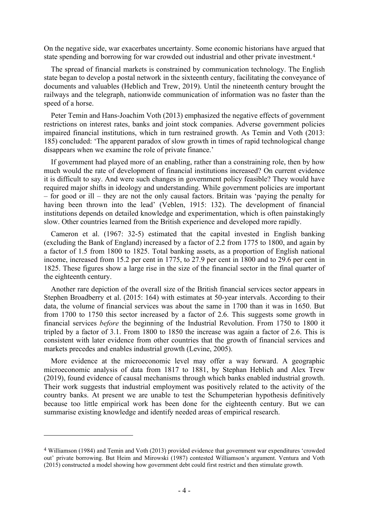On the negative side, war exacerbates uncertainty. Some economic historians have argued that state spending and borrowing for war crowded out industrial and other private investment.[4](#page-4-0)

The spread of financial markets is constrained by communication technology. The English state began to develop a postal network in the sixteenth century, facilitating the conveyance of documents and valuables (Heblich and Trew, 2019). Until the nineteenth century brought the railways and the telegraph, nationwide communication of information was no faster than the speed of a horse.

Peter Temin and Hans-Joachim Voth (2013) emphasized the negative effects of government restrictions on interest rates, banks and joint stock companies. Adverse government policies impaired financial institutions, which in turn restrained growth. As Temin and Voth (2013: 185) concluded: 'The apparent paradox of slow growth in times of rapid technological change disappears when we examine the role of private finance.'

If government had played more of an enabling, rather than a constraining role, then by how much would the rate of development of financial institutions increased? On current evidence it is difficult to say. And were such changes in government policy feasible? They would have required major shifts in ideology and understanding. While government policies are important – for good or ill – they are not the only causal factors. Britain was 'paying the penalty for having been thrown into the lead' (Veblen, 1915: 132). The development of financial institutions depends on detailed knowledge and experimentation, which is often painstakingly slow. Other countries learned from the British experience and developed more rapidly.

Cameron et al. (1967: 32-5) estimated that the capital invested in English banking (excluding the Bank of England) increased by a factor of 2.2 from 1775 to 1800, and again by a factor of 1.5 from 1800 to 1825. Total banking assets, as a proportion of English national income, increased from 15.2 per cent in 1775, to 27.9 per cent in 1800 and to 29.6 per cent in 1825. These figures show a large rise in the size of the financial sector in the final quarter of the eighteenth century.

Another rare depiction of the overall size of the British financial services sector appears in Stephen Broadberry et al. (2015: 164) with estimates at 50-year intervals. According to their data, the volume of financial services was about the same in 1700 than it was in 1650. But from 1700 to 1750 this sector increased by a factor of 2.6. This suggests some growth in financial services *before* the beginning of the Industrial Revolution. From 1750 to 1800 it tripled by a factor of 3.1. From 1800 to 1850 the increase was again a factor of 2.6. This is consistent with later evidence from other countries that the growth of financial services and markets precedes and enables industrial growth (Levine, 2005).

More evidence at the microeconomic level may offer a way forward. A geographic microeconomic analysis of data from 1817 to 1881, by Stephan Heblich and Alex Trew (2019), found evidence of causal mechanisms through which banks enabled industrial growth. Their work suggests that industrial employment was positively related to the activity of the country banks. At present we are unable to test the Schumpeterian hypothesis definitively because too little empirical work has been done for the eighteenth century. But we can summarise existing knowledge and identify needed areas of empirical research.

<span id="page-4-0"></span><sup>4</sup> Williamson (1984) and Temin and Voth (2013) provided evidence that government war expenditures 'crowded out' private borrowing. But Heim and Mirowski (1987) contested Williamson's argument. Ventura and Voth (2015) constructed a model showing how government debt could first restrict and then stimulate growth.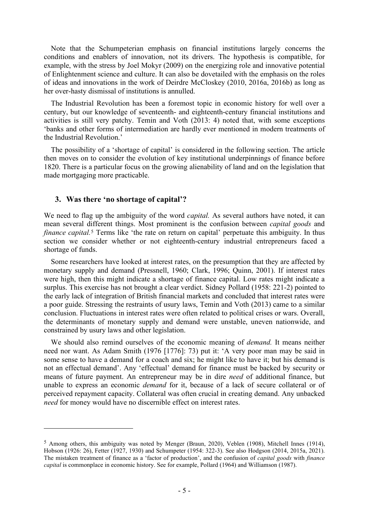Note that the Schumpeterian emphasis on financial institutions largely concerns the conditions and enablers of innovation, not its drivers. The hypothesis is compatible, for example, with the stress by Joel Mokyr (2009) on the energizing role and innovative potential of Enlightenment science and culture. It can also be dovetailed with the emphasis on the roles of ideas and innovations in the work of Deirdre McCloskey (2010, 2016a, 2016b) as long as her over-hasty dismissal of institutions is annulled.

The Industrial Revolution has been a foremost topic in economic history for well over a century, but our knowledge of seventeenth- and eighteenth-century financial institutions and activities is still very patchy. Temin and Voth (2013: 4) noted that, with some exceptions 'banks and other forms of intermediation are hardly ever mentioned in modern treatments of the Industrial Revolution.'

The possibility of a 'shortage of capital' is considered in the following section. The article then moves on to consider the evolution of key institutional underpinnings of finance before 1820. There is a particular focus on the growing alienability of land and on the legislation that made mortgaging more practicable.

#### **3. Was there 'no shortage of capital'?**

We need to flag up the ambiguity of the word *capital.* As several authors have noted, it can mean several different things. Most prominent is the confusion between *capital goods* and *finance capital.*[5](#page-5-0) Terms like 'the rate on return on capital' perpetuate this ambiguity. In thus section we consider whether or not eighteenth-century industrial entrepreneurs faced a shortage of funds.

Some researchers have looked at interest rates, on the presumption that they are affected by monetary supply and demand (Pressnell, 1960; Clark, 1996; Quinn, 2001). If interest rates were high, then this might indicate a shortage of finance capital. Low rates might indicate a surplus. This exercise has not brought a clear verdict. Sidney Pollard (1958: 221-2) pointed to the early lack of integration of British financial markets and concluded that interest rates were a poor guide. Stressing the restraints of usury laws, Temin and Voth (2013) came to a similar conclusion. Fluctuations in interest rates were often related to political crises or wars. Overall, the determinants of monetary supply and demand were unstable, uneven nationwide, and constrained by usury laws and other legislation.

We should also remind ourselves of the economic meaning of *demand.* It means neither need nor want. As Adam Smith (1976 [1776]: 73) put it: 'A very poor man may be said in some sense to have a demand for a coach and six; he might like to have it; but his demand is not an effectual demand'. Any 'effectual' demand for finance must be backed by security or means of future payment. An entrepreneur may be in dire *need* of additional finance, but unable to express an economic *demand* for it, because of a lack of secure collateral or of perceived repayment capacity. Collateral was often crucial in creating demand. Any unbacked *need* for money would have no discernible effect on interest rates.

<span id="page-5-0"></span><sup>5</sup> Among others, this ambiguity was noted by Menger (Braun, 2020), Veblen (1908), Mitchell Innes (1914), Hobson (1926: 26), Fetter (1927, 1930) and Schumpeter (1954: 322-3). See also Hodgson (2014, 2015a, 2021). The mistaken treatment of finance as a 'factor of production', and the confusion of *capital goods* with *finance capital* is commonplace in economic history. See for example, Pollard (1964) and Williamson (1987).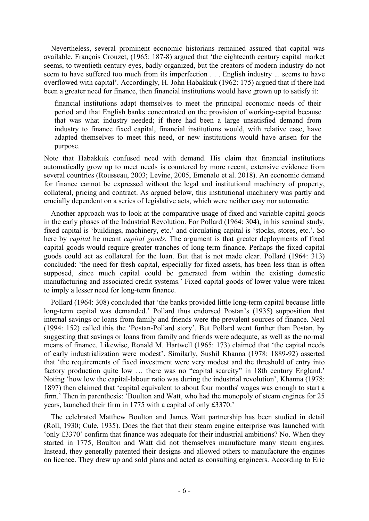Nevertheless, several prominent economic historians remained assured that capital was available. François Crouzet, (1965: 187-8) argued that 'the eighteenth century capital market seems, to twentieth century eyes, badly organized, but the creators of modern industry do not seem to have suffered too much from its imperfection . . . English industry ... seems to have overflowed with capital'. Accordingly, H. John Habakkuk (1962: 175) argued that if there had been a greater need for finance, then financial institutions would have grown up to satisfy it:

financial institutions adapt themselves to meet the principal economic needs of their period and that English banks concentrated on the provision of working-capital because that was what industry needed; if there had been a large unsatisfied demand from industry to finance fixed capital, financial institutions would, with relative ease, have adapted themselves to meet this need, or new institutions would have arisen for the purpose.

Note that Habakkuk confused need with demand. His claim that financial institutions automatically grow up to meet needs is countered by more recent, extensive evidence from several countries (Rousseau, 2003; Levine, 2005, Emenalo et al. 2018). An economic demand for finance cannot be expressed without the legal and institutional machinery of property, collateral, pricing and contract. As argued below, this institutional machinery was partly and crucially dependent on a series of legislative acts, which were neither easy nor automatic.

Another approach was to look at the comparative usage of fixed and variable capital goods in the early phases of the Industrial Revolution. For Pollard (1964: 304), in his seminal study, fixed capital is 'buildings, machinery, etc.' and circulating capital is 'stocks, stores, etc.'. So here by *capital* he meant *capital goods.* The argument is that greater deployments of fixed capital goods would require greater tranches of long-term finance. Perhaps the fixed capital goods could act as collateral for the loan. But that is not made clear. Pollard (1964: 313) concluded: 'the need for fresh capital, especially for fixed assets, has been less than is often supposed, since much capital could be generated from within the existing domestic manufacturing and associated credit systems.' Fixed capital goods of lower value were taken to imply a lesser need for long-term finance.

Pollard (1964: 308) concluded that 'the banks provided little long-term capital because little long-term capital was demanded.' Pollard thus endorsed Postan's (1935) supposition that internal savings or loans from family and friends were the prevalent sources of finance. Neal (1994: 152) called this the 'Postan-Pollard story'. But Pollard went further than Postan, by suggesting that savings or loans from family and friends were adequate, as well as the normal means of finance. Likewise, Ronald M. Hartwell (1965: 173) claimed that 'the capital needs of early industrialization were modest'. Similarly, Sushil Khanna (1978: 1889-92) asserted that 'the requirements of fixed investment were very modest and the threshold of entry into factory production quite low … there was no "capital scarcity" in 18th century England.' Noting 'how low the capital-labour ratio was during the industrial revolution', Khanna (1978: 1897) then claimed that 'capital equivalent to about four months' wages was enough to start a firm.' Then in parenthesis: 'Boulton and Watt, who had the monopoly of steam engines for 25 years, launched their firm in 1775 with a capital of only £3370.'

The celebrated Matthew Boulton and James Watt partnership has been studied in detail (Roll, 1930; Cule, 1935). Does the fact that their steam engine enterprise was launched with 'only £3370' confirm that finance was adequate for their industrial ambitions? No. When they started in 1775, Boulton and Watt did not themselves manufacture many steam engines. Instead, they generally patented their designs and allowed others to manufacture the engines on licence. They drew up and sold plans and acted as consulting engineers. According to Eric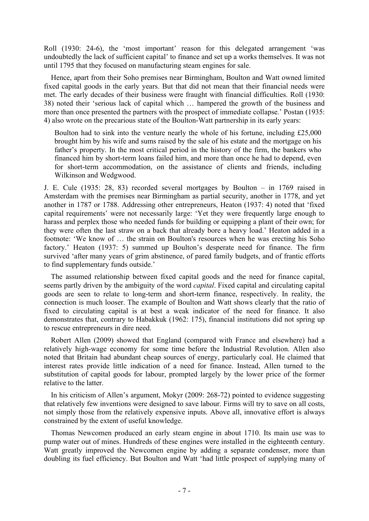Roll (1930: 24-6), the 'most important' reason for this delegated arrangement 'was undoubtedly the lack of sufficient capital' to finance and set up a works themselves. It was not until 1795 that they focused on manufacturing steam engines for sale.

Hence, apart from their Soho premises near Birmingham, Boulton and Watt owned limited fixed capital goods in the early years. But that did not mean that their financial needs were met. The early decades of their business were fraught with financial difficulties. Roll (1930: 38) noted their 'serious lack of capital which … hampered the growth of the business and more than once presented the partners with the prospect of immediate collapse.' Postan (1935: 4) also wrote on the precarious state of the Boulton-Watt partnership in its early years:

Boulton had to sink into the venture nearly the whole of his fortune, including £25,000 brought him by his wife and sums raised by the sale of his estate and the mortgage on his father's property. In the most critical period in the history of the firm, the bankers who financed him by short-term loans failed him, and more than once he had to depend, even for short-term accommodation, on the assistance of clients and friends, including Wilkinson and Wedgwood.

J. E. Cule (1935: 28, 83) recorded several mortgages by Boulton – in 1769 raised in Amsterdam with the premises near Birmingham as partial security, another in 1778, and yet another in 1787 or 1788. Addressing other entrepreneurs, Heaton (1937: 4) noted that 'fixed capital requirements' were not necessarily large: 'Yet they were frequently large enough to harass and perplex those who needed funds for building or equipping a plant of their own; for they were often the last straw on a back that already bore a heavy load.' Heaton added in a footnote: 'We know of … the strain on Boulton's resources when he was erecting his Soho factory.' Heaton (1937: 5) summed up Boulton's desperate need for finance. The firm survived 'after many years of grim abstinence, of pared family budgets, and of frantic efforts to find supplementary funds outside.'

The assumed relationship between fixed capital goods and the need for finance capital, seems partly driven by the ambiguity of the word *capital*. Fixed capital and circulating capital goods are seen to relate to long-term and short-term finance, respectively. In reality, the connection is much looser. The example of Boulton and Watt shows clearly that the ratio of fixed to circulating capital is at best a weak indicator of the need for finance. It also demonstrates that, contrary to Habakkuk (1962: 175), financial institutions did not spring up to rescue entrepreneurs in dire need.

Robert Allen (2009) showed that England (compared with France and elsewhere) had a relatively high-wage economy for some time before the Industrial Revolution. Allen also noted that Britain had abundant cheap sources of energy, particularly coal. He claimed that interest rates provide little indication of a need for finance. Instead, Allen turned to the substitution of capital goods for labour, prompted largely by the lower price of the former relative to the latter.

In his criticism of Allen's argument, Mokyr (2009: 268-72) pointed to evidence suggesting that relatively few inventions were designed to save labour. Firms will try to save on all costs, not simply those from the relatively expensive inputs. Above all, innovative effort is always constrained by the extent of useful knowledge.

Thomas Newcomen produced an early steam engine in about 1710. Its main use was to pump water out of mines. Hundreds of these engines were installed in the eighteenth century. Watt greatly improved the Newcomen engine by adding a separate condenser, more than doubling its fuel efficiency. But Boulton and Watt 'had little prospect of supplying many of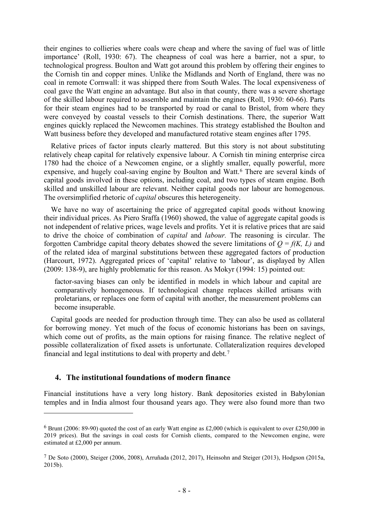their engines to collieries where coals were cheap and where the saving of fuel was of little importance' (Roll, 1930: 67). The cheapness of coal was here a barrier, not a spur, to technological progress. Boulton and Watt got around this problem by offering their engines to the Cornish tin and copper mines. Unlike the Midlands and North of England, there was no coal in remote Cornwall: it was shipped there from South Wales. The local expensiveness of coal gave the Watt engine an advantage. But also in that county, there was a severe shortage of the skilled labour required to assemble and maintain the engines (Roll, 1930: 60-66). Parts for their steam engines had to be transported by road or canal to Bristol, from where they were conveyed by coastal vessels to their Cornish destinations. There, the superior Watt engines quickly replaced the Newcomen machines. This strategy established the Boulton and Watt business before they developed and manufactured rotative steam engines after 1795.

Relative prices of factor inputs clearly mattered. But this story is not about substituting relatively cheap capital for relatively expensive labour. A Cornish tin mining enterprise circa 1780 had the choice of a Newcomen engine, or a slightly smaller, equally powerful, more expensive, and hugely coal-saving engine by Boulton and Watt.<sup>[6](#page-8-0)</sup> There are several kinds of capital goods involved in these options, including coal, and two types of steam engine. Both skilled and unskilled labour are relevant. Neither capital goods nor labour are homogenous. The oversimplified rhetoric of *capital* obscures this heterogeneity.

We have no way of ascertaining the price of aggregated capital goods without knowing their individual prices. As Piero Sraffa (1960) showed, the value of aggregate capital goods is not independent of relative prices, wage levels and profits. Yet it is relative prices that are said to drive the choice of combination of *capital* and *labour.* The reasoning is circular. The forgotten Cambridge capital theory debates showed the severe limitations of  $Q = f(K, L)$  and of the related idea of marginal substitutions between these aggregated factors of production (Harcourt, 1972). Aggregated prices of 'capital' relative to 'labour', as displayed by Allen (2009: 138-9), are highly problematic for this reason. As Mokyr (1994: 15) pointed out:

factor-saving biases can only be identified in models in which labour and capital are comparatively homogeneous. If technological change replaces skilled artisans with proletarians, or replaces one form of capital with another, the measurement problems can become insuperable.

Capital goods are needed for production through time. They can also be used as collateral for borrowing money. Yet much of the focus of economic historians has been on savings, which come out of profits, as the main options for raising finance. The relative neglect of possible collateralization of fixed assets is unfortunate. Collateralization requires developed financial and legal institutions to deal with property and debt.[7](#page-8-1)

#### **4. The institutional foundations of modern finance**

Financial institutions have a very long history. Bank depositories existed in Babylonian temples and in India almost four thousand years ago. They were also found more than two

<span id="page-8-0"></span><sup>&</sup>lt;sup>6</sup> Brunt (2006: 89-90) quoted the cost of an early Watt engine as £2,000 (which is equivalent to over £250,000 in 2019 prices). But the savings in coal costs for Cornish clients, compared to the Newcomen engine, were estimated at £2,000 per annum.

<span id="page-8-1"></span><sup>7</sup> De Soto (2000), Steiger (2006, 2008), Arruñada (2012, 2017), Heinsohn and Steiger (2013), Hodgson (2015a, 2015b).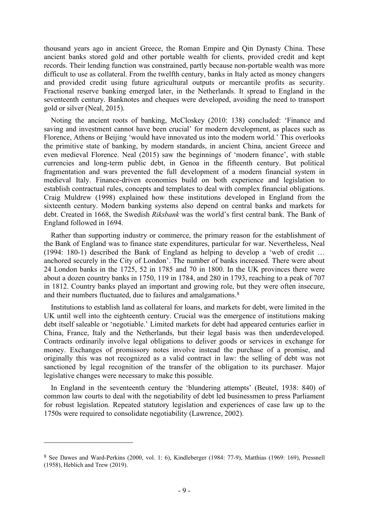thousand years ago in ancient Greece, the Roman Empire and Qin Dynasty China. These ancient banks stored gold and other portable wealth for clients, provided credit and kept records. Their lending function was constrained, partly because non-portable wealth was more difficult to use as collateral. From the twelfth century, banks in Italy acted as money changers and provided credit using future agricultural outputs or mercantile profits as security. Fractional reserve banking emerged later, in the Netherlands. It spread to England in the seventeenth century. Banknotes and cheques were developed, avoiding the need to transport gold or silver (Neal, 2015).

Noting the ancient roots of banking, McCloskey (2010: 138) concluded: 'Finance and saving and investment cannot have been crucial' for modern development, as places such as Florence, Athens or Beijing 'would have innovated us into the modern world.' This overlooks the primitive state of banking, by modern standards, in ancient China, ancient Greece and even medieval Florence. Neal (2015) saw the beginnings of 'modern finance', with stable currencies and long-term public debt, in Genoa in the fifteenth century. But political fragmentation and wars prevented the full development of a modern financial system in medieval Italy. Finance-driven economies build on both experience and legislation to establish contractual rules, concepts and templates to deal with complex financial obligations. Craig Muldrew (1998) explained how these institutions developed in England from the sixteenth century. Modern banking systems also depend on central banks and markets for debt. Created in 1668, the Swedish *Riksbank* was the world's first central bank. The Bank of England followed in 1694.

Rather than supporting industry or commerce, the primary reason for the establishment of the Bank of England was to finance state expenditures, particular for war. Nevertheless, Neal (1994: 180-1) described the Bank of England as helping to develop a 'web of credit … anchored securely in the City of London'. The number of banks increased. There were about 24 London banks in the 1725, 52 in 1785 and 70 in 1800. In the UK provinces there were about a dozen country banks in 1750, 119 in 1784, and 280 in 1793, reaching to a peak of 707 in 1812. Country banks played an important and growing role, but they were often insecure, and their numbers fluctuated, due to failures and amalgamations.<sup>[8](#page-9-0)</sup>

Institutions to establish land as collateral for loans, and markets for debt, were limited in the UK until well into the eighteenth century. Crucial was the emergence of institutions making debt itself saleable or 'negotiable.' Limited markets for debt had appeared centuries earlier in China, France, Italy and the Netherlands, but their legal basis was then underdeveloped. Contracts ordinarily involve legal obligations to deliver goods or services in exchange for money. Exchanges of promissory notes involve instead the purchase of a promise, and originally this was not recognized as a valid contract in law: the selling of debt was not sanctioned by legal recognition of the transfer of the obligation to its purchaser. Major legislative changes were necessary to make this possible.

In England in the seventeenth century the 'blundering attempts' (Beutel, 1938: 840) of common law courts to deal with the negotiability of debt led businessmen to press Parliament for robust legislation. Repeated statutory legislation and experiences of case law up to the 1750s were required to consolidate negotiability (Lawrence, 2002).

<span id="page-9-0"></span><sup>8</sup> See Dawes and Ward-Perkins (2000, vol. 1: 6), Kindleberger (1984: 77-9), Matthias (1969: 169), Pressnell (1958), Heblich and Trew (2019).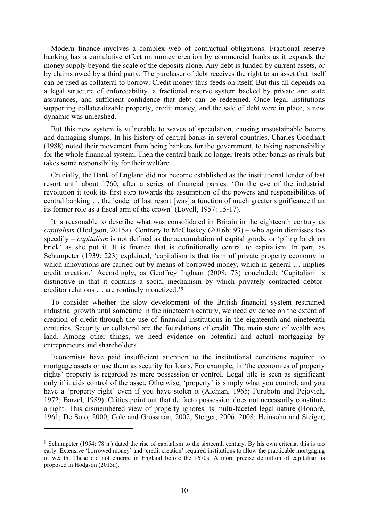Modern finance involves a complex web of contractual obligations. Fractional reserve banking has a cumulative effect on money creation by commercial banks as it expands the money supply beyond the scale of the deposits alone. Any debt is funded by current assets, or by claims owed by a third party. The purchaser of debt receives the right to an asset that itself can be used as collateral to borrow. Credit money thus feeds on itself. But this all depends on a legal structure of enforceability, a fractional reserve system backed by private and state assurances, and sufficient confidence that debt can be redeemed. Once legal institutions supporting collateralizable property, credit money, and the sale of debt were in place, a new dynamic was unleashed.

But this new system is vulnerable to waves of speculation, causing unsustainable booms and damaging slumps. In his history of central banks in several countries, Charles Goodhart (1988) noted their movement from being bankers for the government, to taking responsibility for the whole financial system. Then the central bank no longer treats other banks as rivals but takes some responsibility for their welfare.

Crucially, the Bank of England did not become established as the institutional lender of last resort until about 1760, after a series of financial panics. 'On the eve of the industrial revolution it took its first step towards the assumption of the powers and responsibilities of central banking … the lender of last resort [was] a function of much greater significance than its former role as a fiscal arm of the crown' (Lovell, 1957: 15-17).

It is reasonable to describe what was consolidated in Britain in the eighteenth century as *capitalism* (Hodgson, 2015a). Contrary to McCloskey (2016b: 93) – who again dismisses too speedily – *capitalism* is not defined as the accumulation of capital goods, or 'piling brick on brick' as she put it. It is finance that is definitionally central to capitalism. In part, as Schumpeter (1939: 223) explained, 'capitalism is that form of private property economy in which innovations are carried out by means of borrowed money, which in general ... implies credit creation.' Accordingly, as Geoffrey Ingham (2008: 73) concluded: 'Capitalism is distinctive in that it contains a social mechanism by which privately contracted debtorcreditor relations … are routinely monetized.'[9](#page-10-0)

To consider whether the slow development of the British financial system restrained industrial growth until sometime in the nineteenth century, we need evidence on the extent of creation of credit through the use of financial institutions in the eighteenth and nineteenth centuries. Security or collateral are the foundations of credit. The main store of wealth was land. Among other things, we need evidence on potential and actual mortgaging by entrepreneurs and shareholders.

Economists have paid insufficient attention to the institutional conditions required to mortgage assets or use them as security for loans. For example, in 'the economics of property rights' property is regarded as mere possession or control. Legal title is seen as significant only if it aids control of the asset. Otherwise, 'property' is simply what you control, and you have a 'property right' even if you have stolen it (Alchian, 1965; Furubotn and Pejovich, 1972; Barzel, 1989). Critics point out that de facto possession does not necessarily constitute a right. This dismembered view of property ignores its multi-faceted legal nature (Honoré, 1961; De Soto, 2000; Cole and Grossman, 2002; Steiger, 2006, 2008; Heinsohn and Steiger,

<span id="page-10-0"></span><sup>9</sup> Schumpeter (1954: 78 n.) dated the rise of capitalism to the sixteenth century. By his own criteria, this is too early. Extensive 'borrowed money' and 'credit creation' required institutions to allow the practicable mortgaging of wealth. These did not emerge in England before the 1670s. A more precise definition of capitalism is proposed in Hodgson (2015a).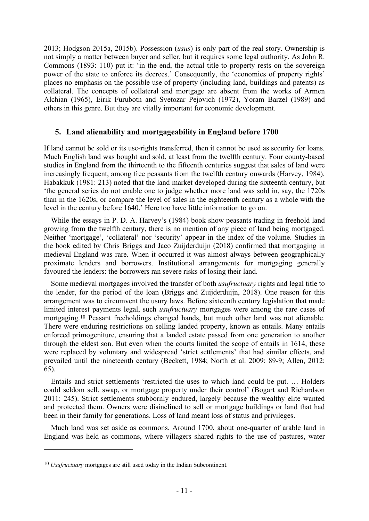2013; Hodgson 2015a, 2015b). Possession (*usus*) is only part of the real story. Ownership is not simply a matter between buyer and seller, but it requires some legal authority. As John R. Commons (1893: 110) put it: 'in the end, the actual title to property rests on the sovereign power of the state to enforce its decrees.' Consequently, the 'economics of property rights' places no emphasis on the possible use of property (including land, buildings and patents) as collateral. The concepts of collateral and mortgage are absent from the works of Armen Alchian (1965), Eirik Furubotn and Svetozar Pejovich (1972), Yoram Barzel (1989) and others in this genre. But they are vitally important for economic development.

## **5. Land alienability and mortgageability in England before 1700**

If land cannot be sold or its use-rights transferred, then it cannot be used as security for loans. Much English land was bought and sold, at least from the twelfth century. Four county-based studies in England from the thirteenth to the fifteenth centuries suggest that sales of land were increasingly frequent, among free peasants from the twelfth century onwards (Harvey, 1984). Habakkuk (1981: 213) noted that the land market developed during the sixteenth century, but 'the general series do not enable one to judge whether more land was sold in, say, the 1720s than in the 1620s, or compare the level of sales in the eighteenth century as a whole with the level in the century before 1640.' Here too have little information to go on.

While the essays in P. D. A. Harvey's (1984) book show peasants trading in freehold land growing from the twelfth century, there is no mention of any piece of land being mortgaged. Neither 'mortgage', 'collateral' nor 'security' appear in the index of the volume. Studies in the book edited by Chris Briggs and Jaco Zuijderduijn (2018) confirmed that mortgaging in medieval England was rare. When it occurred it was almost always between geographically proximate lenders and borrowers. Institutional arrangements for mortgaging generally favoured the lenders: the borrowers ran severe risks of losing their land.

Some medieval mortgages involved the transfer of both *usufructuary* rights and legal title to the lender, for the period of the loan (Briggs and Zuijderduijn, 2018). One reason for this arrangement was to circumvent the usury laws. Before sixteenth century legislation that made limited interest payments legal, such *usufructuary* mortgages were among the rare cases of mortgaging.[10](#page-11-0) Peasant freeholdings changed hands, but much other land was not alienable. There were enduring restrictions on selling landed property, known as entails. Many entails enforced primogeniture, ensuring that a landed estate passed from one generation to another through the eldest son. But even when the courts limited the scope of entails in 1614, these were replaced by voluntary and widespread 'strict settlements' that had similar effects, and prevailed until the nineteenth century (Beckett, 1984; North et al. 2009: 89-9; Allen, 2012: 65).

Entails and strict settlements 'restricted the uses to which land could be put. … Holders could seldom sell, swap, or mortgage property under their control' (Bogart and Richardson 2011: 245). Strict settlements stubbornly endured, largely because the wealthy elite wanted and protected them. Owners were disinclined to sell or mortgage buildings or land that had been in their family for generations. Loss of land meant loss of status and privileges.

Much land was set aside as commons. Around 1700, about one-quarter of arable land in England was held as commons, where villagers shared rights to the use of pastures, water

<span id="page-11-0"></span><sup>10</sup> *Usufructuary* mortgages are still used today in the Indian Subcontinent.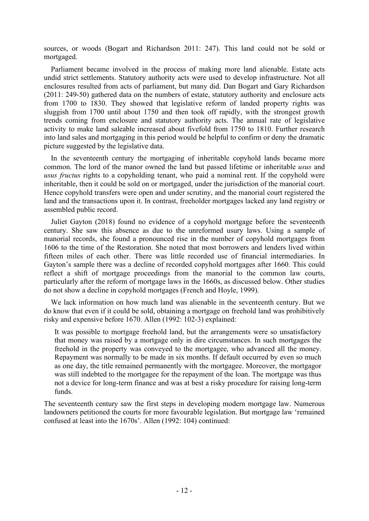sources, or woods (Bogart and Richardson 2011: 247). This land could not be sold or mortgaged.

Parliament became involved in the process of making more land alienable. Estate acts undid strict settlements. Statutory authority acts were used to develop infrastructure. Not all enclosures resulted from acts of parliament, but many did. Dan Bogart and Gary Richardson (2011: 249-50) gathered data on the numbers of estate, statutory authority and enclosure acts from 1700 to 1830. They showed that legislative reform of landed property rights was sluggish from 1700 until about 1750 and then took off rapidly, with the strongest growth trends coming from enclosure and statutory authority acts. The annual rate of legislative activity to make land saleable increased about fivefold from 1750 to 1810. Further research into land sales and mortgaging in this period would be helpful to confirm or deny the dramatic picture suggested by the legislative data.

In the seventeenth century the mortgaging of inheritable copyhold lands became more common. The lord of the manor owned the land but passed lifetime or inheritable *usus* and *usus fructus* rights to a copyholding tenant, who paid a nominal rent. If the copyhold were inheritable, then it could be sold on or mortgaged, under the jurisdiction of the manorial court. Hence copyhold transfers were open and under scrutiny, and the manorial court registered the land and the transactions upon it. In contrast, freeholder mortgages lacked any land registry or assembled public record.

Juliet Gayton (2018) found no evidence of a copyhold mortgage before the seventeenth century. She saw this absence as due to the unreformed usury laws. Using a sample of manorial records, she found a pronounced rise in the number of copyhold mortgages from 1606 to the time of the Restoration. She noted that most borrowers and lenders lived within fifteen miles of each other. There was little recorded use of financial intermediaries. In Gayton's sample there was a decline of recorded copyhold mortgages after 1660. This could reflect a shift of mortgage proceedings from the manorial to the common law courts, particularly after the reform of mortgage laws in the 1660s, as discussed below. Other studies do not show a decline in copyhold mortgages (French and Hoyle, 1999).

We lack information on how much land was alienable in the seventeenth century. But we do know that even if it could be sold, obtaining a mortgage on freehold land was prohibitively risky and expensive before 1670. Allen (1992: 102-3) explained:

It was possible to mortgage freehold land, but the arrangements were so unsatisfactory that money was raised by a mortgage only in dire circumstances. In such mortgages the freehold in the property was conveyed to the mortgagee, who advanced all the money. Repayment was normally to be made in six months. If default occurred by even so much as one day, the title remained permanently with the mortgagee. Moreover, the mortgagor was still indebted to the mortgagee for the repayment of the loan. The mortgage was thus not a device for long-term finance and was at best a risky procedure for raising long-term funds.

The seventeenth century saw the first steps in developing modern mortgage law. Numerous landowners petitioned the courts for more favourable legislation. But mortgage law 'remained confused at least into the 1670s'. Allen (1992: 104) continued: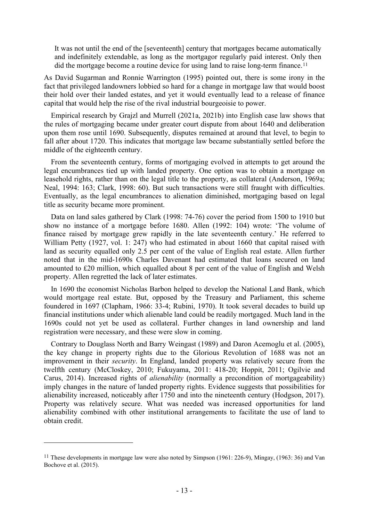It was not until the end of the [seventeenth] century that mortgages became automatically and indefinitely extendable, as long as the mortgagor regularly paid interest. Only then did the mortgage become a routine device for using land to raise long-term finance.<sup>[11](#page-13-0)</sup>

As David Sugarman and Ronnie Warrington (1995) pointed out, there is some irony in the fact that privileged landowners lobbied so hard for a change in mortgage law that would boost their hold over their landed estates, and yet it would eventually lead to a release of finance capital that would help the rise of the rival industrial bourgeoisie to power.

Empirical research by Grajzl and Murrell (2021a, 2021b) into English case law shows that the rules of mortgaging became under greater court dispute from about 1640 and deliberation upon them rose until 1690. Subsequently, disputes remained at around that level, to begin to fall after about 1720. This indicates that mortgage law became substantially settled before the middle of the eighteenth century.

From the seventeenth century, forms of mortgaging evolved in attempts to get around the legal encumbrances tied up with landed property. One option was to obtain a mortgage on leasehold rights, rather than on the legal title to the property, as collateral (Anderson, 1969a; Neal, 1994: 163; Clark, 1998: 60). But such transactions were still fraught with difficulties. Eventually, as the legal encumbrances to alienation diminished, mortgaging based on legal title as security became more prominent.

Data on land sales gathered by Clark (1998: 74-76) cover the period from 1500 to 1910 but show no instance of a mortgage before 1680. Allen (1992: 104) wrote: 'The volume of finance raised by mortgage grew rapidly in the late seventeenth century.' He referred to William Petty (1927, vol. 1: 247) who had estimated in about 1660 that capital raised with land as security equalled only 2.5 per cent of the value of English real estate. Allen further noted that in the mid-1690s Charles Davenant had estimated that loans secured on land amounted to £20 million, which equalled about 8 per cent of the value of English and Welsh property. Allen regretted the lack of later estimates.

In 1690 the economist Nicholas Barbon helped to develop the National Land Bank, which would mortgage real estate. But, opposed by the Treasury and Parliament, this scheme foundered in 1697 (Clapham, 1966: 33-4; Rubini, 1970). It took several decades to build up financial institutions under which alienable land could be readily mortgaged. Much land in the 1690s could not yet be used as collateral. Further changes in land ownership and land registration were necessary, and these were slow in coming.

Contrary to Douglass North and Barry Weingast (1989) and Daron Acemoglu et al. (2005), the key change in property rights due to the Glorious Revolution of 1688 was not an improvement in their *security*. In England, landed property was relatively secure from the twelfth century (McCloskey, 2010; Fukuyama, 2011: 418-20; Hoppit, 2011; Ogilvie and Carus, 2014). Increased rights of *alienability* (normally a precondition of mortgageability) imply changes in the nature of landed property rights. Evidence suggests that possibilities for alienability increased, noticeably after 1750 and into the nineteenth century (Hodgson, 2017). Property was relatively secure. What was needed was increased opportunities for land alienability combined with other institutional arrangements to facilitate the use of land to obtain credit.

<span id="page-13-0"></span><sup>11</sup> These developments in mortgage law were also noted by Simpson (1961: 226-9), Mingay, (1963: 36) and Van Bochove et al. (2015).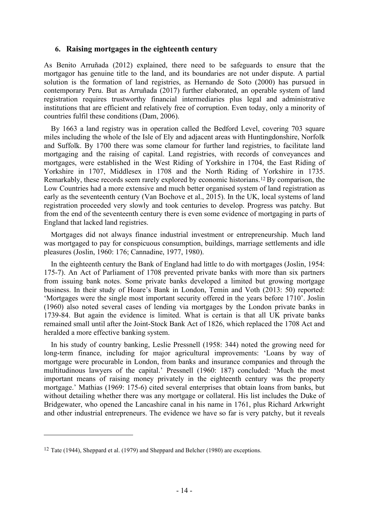## **6. Raising mortgages in the eighteenth century**

As Benito Arruñada (2012) explained, there need to be safeguards to ensure that the mortgagor has genuine title to the land, and its boundaries are not under dispute. A partial solution is the formation of land registries, as Hernando de Soto (2000) has pursued in contemporary Peru. But as Arruñada (2017) further elaborated, an operable system of land registration requires trustworthy financial intermediaries plus legal and administrative institutions that are efficient and relatively free of corruption. Even today, only a minority of countries fulfil these conditions (Dam, 2006).

By 1663 a land registry was in operation called the Bedford Level, covering 703 square miles including the whole of the Isle of Ely and adjacent areas with Huntingdonshire, Norfolk and Suffolk. By 1700 there was some clamour for further land registries, to facilitate land mortgaging and the raising of capital. Land registries, with records of conveyances and mortgages, were established in the West Riding of Yorkshire in 1704, the East Riding of Yorkshire in 1707, Middlesex in 1708 and the North Riding of Yorkshire in 1735. Remarkably, these records seem rarely explored by economic historians.[12](#page-14-0) By comparison, the Low Countries had a more extensive and much better organised system of land registration as early as the seventeenth century (Van Bochove et al., 2015). In the UK, local systems of land registration proceeded very slowly and took centuries to develop. Progress was patchy. But from the end of the seventeenth century there is even some evidence of mortgaging in parts of England that lacked land registries.

Mortgages did not always finance industrial investment or entrepreneurship. Much land was mortgaged to pay for conspicuous consumption, buildings, marriage settlements and idle pleasures (Joslin, 1960: 176; Cannadine, 1977, 1980).

In the eighteenth century the Bank of England had little to do with mortgages (Joslin, 1954: 175-7). An Act of Parliament of 1708 prevented private banks with more than six partners from issuing bank notes. Some private banks developed a limited but growing mortgage business. In their study of Hoare's Bank in London, Temin and Voth (2013: 50) reported: 'Mortgages were the single most important security offered in the years before 1710'. Joslin (1960) also noted several cases of lending via mortgages by the London private banks in 1739-84. But again the evidence is limited. What is certain is that all UK private banks remained small until after the Joint-Stock Bank Act of 1826, which replaced the 1708 Act and heralded a more effective banking system.

In his study of country banking, Leslie Pressnell (1958: 344) noted the growing need for long-term finance, including for major agricultural improvements: 'Loans by way of mortgage were procurable in London, from banks and insurance companies and through the multitudinous lawyers of the capital.' Pressnell (1960: 187) concluded: 'Much the most important means of raising money privately in the eighteenth century was the property mortgage.' Mathias (1969: 175-6) cited several enterprises that obtain loans from banks, but without detailing whether there was any mortgage or collateral. His list includes the Duke of Bridgewater, who opened the Lancashire canal in his name in 1761, plus Richard Arkwright and other industrial entrepreneurs. The evidence we have so far is very patchy, but it reveals

<span id="page-14-0"></span><sup>&</sup>lt;sup>12</sup> Tate (1944), Sheppard et al. (1979) and Sheppard and Belcher (1980) are exceptions.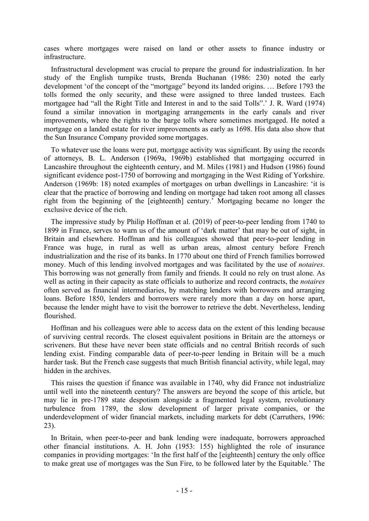cases where mortgages were raised on land or other assets to finance industry or infrastructure.

Infrastructural development was crucial to prepare the ground for industrialization. In her study of the English turnpike trusts, Brenda Buchanan (1986: 230) noted the early development 'of the concept of the "mortgage" beyond its landed origins. … Before 1793 the tolls formed the only security, and these were assigned to three landed trustees. Each mortgagee had "all the Right Title and Interest in and to the said Tolls".' J. R. Ward (1974) found a similar innovation in mortgaging arrangements in the early canals and river improvements, where the rights to the barge tolls where sometimes mortgaged. He noted a mortgage on a landed estate for river improvements as early as 1698. His data also show that the Sun Insurance Company provided some mortgages.

To whatever use the loans were put, mortgage activity was significant. By using the records of attorneys, B. L. Anderson (1969a, 1969b) established that mortgaging occurred in Lancashire throughout the eighteenth century, and M. Miles (1981) and Hudson (1986) found significant evidence post-1750 of borrowing and mortgaging in the West Riding of Yorkshire. Anderson (1969b: 18) noted examples of mortgages on urban dwellings in Lancashire: 'it is clear that the practice of borrowing and lending on mortgage had taken root among all classes right from the beginning of the [eighteenth] century.' Mortgaging became no longer the exclusive device of the rich.

The impressive study by Philip Hoffman et al. (2019) of peer-to-peer lending from 1740 to 1899 in France, serves to warn us of the amount of 'dark matter' that may be out of sight, in Britain and elsewhere. Hoffman and his colleagues showed that peer-to-peer lending in France was huge, in rural as well as urban areas, almost century before French industrialization and the rise of its banks. In 1770 about one third of French families borrowed money. Much of this lending involved mortgages and was facilitated by the use of *notaires*. This borrowing was not generally from family and friends. It could no rely on trust alone. As well as acting in their capacity as state officials to authorize and record contracts, the *notaires*  often served as financial intermediaries, by matching lenders with borrowers and arranging loans. Before 1850, lenders and borrowers were rarely more than a day on horse apart, because the lender might have to visit the borrower to retrieve the debt. Nevertheless, lending flourished.

Hoffman and his colleagues were able to access data on the extent of this lending because of surviving central records. The closest equivalent positions in Britain are the attorneys or scriveners. But these have never been state officials and no central British records of such lending exist. Finding comparable data of peer-to-peer lending in Britain will be a much harder task. But the French case suggests that much British financial activity, while legal, may hidden in the archives.

This raises the question if finance was available in 1740, why did France not industrialize until well into the nineteenth century? The answers are beyond the scope of this article, but may lie in pre-1789 state despotism alongside a fragmented legal system, revolutionary turbulence from 1789, the slow development of larger private companies, or the underdevelopment of wider financial markets, including markets for debt (Carruthers, 1996: 23).

In Britain, when peer-to-peer and bank lending were inadequate, borrowers approached other financial institutions. A. H. John (1953: 155) highlighted the role of insurance companies in providing mortgages: 'In the first half of the [eighteenth] century the only office to make great use of mortgages was the Sun Fire, to be followed later by the Equitable.' The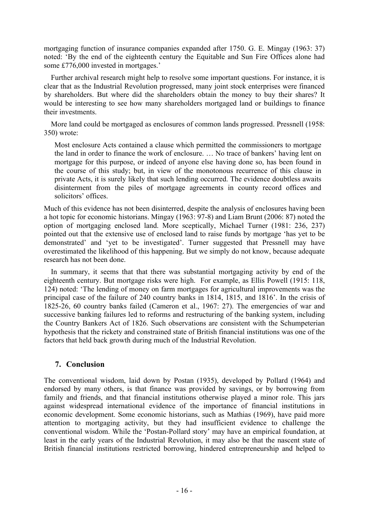mortgaging function of insurance companies expanded after 1750. G. E. Mingay (1963: 37) noted: 'By the end of the eighteenth century the Equitable and Sun Fire Offices alone had some £776,000 invested in mortgages.'

Further archival research might help to resolve some important questions. For instance, it is clear that as the Industrial Revolution progressed, many joint stock enterprises were financed by shareholders. But where did the shareholders obtain the money to buy their shares? It would be interesting to see how many shareholders mortgaged land or buildings to finance their investments.

More land could be mortgaged as enclosures of common lands progressed. Pressnell (1958: 350) wrote:

Most enclosure Acts contained a clause which permitted the commissioners to mortgage the land in order to finance the work of enclosure. … No trace of bankers' having lent on mortgage for this purpose, or indeed of anyone else having done so, has been found in the course of this study; but, in view of the monotonous recurrence of this clause in private Acts, it is surely likely that such lending occurred. The evidence doubtless awaits disinterment from the piles of mortgage agreements in county record offices and solicitors' offices.

Much of this evidence has not been disinterred, despite the analysis of enclosures having been a hot topic for economic historians. Mingay (1963: 97-8) and Liam Brunt (2006: 87) noted the option of mortgaging enclosed land. More sceptically, Michael Turner (1981: 236, 237) pointed out that the extensive use of enclosed land to raise funds by mortgage 'has yet to be demonstrated' and 'yet to be investigated'. Turner suggested that Pressnell may have overestimated the likelihood of this happening. But we simply do not know, because adequate research has not been done.

In summary, it seems that that there was substantial mortgaging activity by end of the eighteenth century. But mortgage risks were high. For example, as Ellis Powell (1915: 118, 124) noted: 'The lending of money on farm mortgages for agricultural improvements was the principal case of the failure of 240 country banks in 1814, 1815, and 1816'. In the crisis of 1825-26, 60 country banks failed (Cameron et al., 1967: 27). The emergencies of war and successive banking failures led to reforms and restructuring of the banking system, including the Country Bankers Act of 1826. Such observations are consistent with the Schumpeterian hypothesis that the rickety and constrained state of British financial institutions was one of the factors that held back growth during much of the Industrial Revolution.

## **7. Conclusion**

The conventional wisdom, laid down by Postan (1935), developed by Pollard (1964) and endorsed by many others, is that finance was provided by savings, or by borrowing from family and friends, and that financial institutions otherwise played a minor role. This jars against widespread international evidence of the importance of financial institutions in economic development. Some economic historians, such as Mathias (1969), have paid more attention to mortgaging activity, but they had insufficient evidence to challenge the conventional wisdom. While the 'Postan-Pollard story' may have an empirical foundation, at least in the early years of the Industrial Revolution, it may also be that the nascent state of British financial institutions restricted borrowing, hindered entrepreneurship and helped to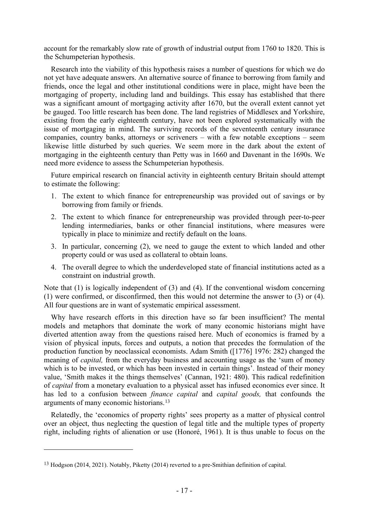account for the remarkably slow rate of growth of industrial output from 1760 to 1820. This is the Schumpeterian hypothesis.

Research into the viability of this hypothesis raises a number of questions for which we do not yet have adequate answers. An alternative source of finance to borrowing from family and friends, once the legal and other institutional conditions were in place, might have been the mortgaging of property, including land and buildings. This essay has established that there was a significant amount of mortgaging activity after 1670, but the overall extent cannot yet be gauged. Too little research has been done. The land registries of Middlesex and Yorkshire, existing from the early eighteenth century, have not been explored systematically with the issue of mortgaging in mind. The surviving records of the seventeenth century insurance companies, country banks, attorneys or scriveners – with a few notable exceptions – seem likewise little disturbed by such queries. We seem more in the dark about the extent of mortgaging in the eighteenth century than Petty was in 1660 and Davenant in the 1690s. We need more evidence to assess the Schumpeterian hypothesis.

Future empirical research on financial activity in eighteenth century Britain should attempt to estimate the following:

- 1. The extent to which finance for entrepreneurship was provided out of savings or by borrowing from family or friends.
- 2. The extent to which finance for entrepreneurship was provided through peer-to-peer lending intermediaries, banks or other financial institutions, where measures were typically in place to minimize and rectify default on the loans.
- 3. In particular, concerning (2), we need to gauge the extent to which landed and other property could or was used as collateral to obtain loans.
- 4. The overall degree to which the underdeveloped state of financial institutions acted as a constraint on industrial growth.

Note that (1) is logically independent of (3) and (4). If the conventional wisdom concerning (1) were confirmed, or disconfirmed, then this would not determine the answer to (3) or (4). All four questions are in want of systematic empirical assessment.

Why have research efforts in this direction have so far been insufficient? The mental models and metaphors that dominate the work of many economic historians might have diverted attention away from the questions raised here. Much of economics is framed by a vision of physical inputs, forces and outputs, a notion that precedes the formulation of the production function by neoclassical economists. Adam Smith ([1776] 1976: 282) changed the meaning of *capital,* from the everyday business and accounting usage as the 'sum of money which is to be invested, or which has been invested in certain things'. Instead of their money value, 'Smith makes it the things themselves' (Cannan, 1921: 480). This radical redefinition of *capital* from a monetary evaluation to a physical asset has infused economics ever since. It has led to a confusion between *finance capital* and *capital goods,* that confounds the arguments of many economic historians.[13](#page-17-0)

Relatedly, the 'economics of property rights' sees property as a matter of physical control over an object, thus neglecting the question of legal title and the multiple types of property right, including rights of alienation or use (Honoré, 1961). It is thus unable to focus on the

<span id="page-17-0"></span><sup>13</sup> Hodgson (2014, 2021). Notably, Piketty (2014) reverted to a pre-Smithian definition of capital.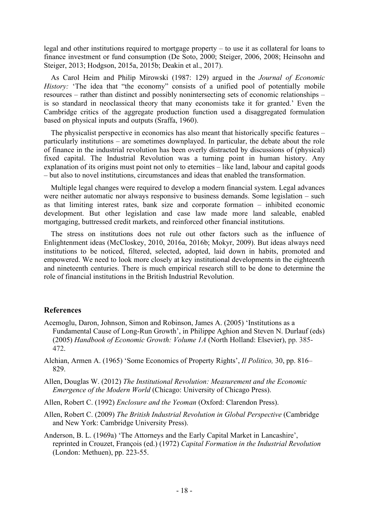legal and other institutions required to mortgage property – to use it as collateral for loans to finance investment or fund consumption (De Soto, 2000; Steiger, 2006, 2008; Heinsohn and Steiger, 2013; Hodgson, 2015a, 2015b; Deakin et al., 2017).

As Carol Heim and Philip Mirowski (1987: 129) argued in the *Journal of Economic History:* 'The idea that "the economy" consists of a unified pool of potentially mobile resources – rather than distinct and possibly nonintersecting sets of economic relationships – is so standard in neoclassical theory that many economists take it for granted.' Even the Cambridge critics of the aggregate production function used a disaggregated formulation based on physical inputs and outputs (Sraffa, 1960).

The physicalist perspective in economics has also meant that historically specific features – particularly institutions – are sometimes downplayed. In particular, the debate about the role of finance in the industrial revolution has been overly distracted by discussions of (physical) fixed capital. The Industrial Revolution was a turning point in human history. Any explanation of its origins must point not only to eternities – like land, labour and capital goods – but also to novel institutions, circumstances and ideas that enabled the transformation.

Multiple legal changes were required to develop a modern financial system. Legal advances were neither automatic nor always responsive to business demands. Some legislation – such as that limiting interest rates, bank size and corporate formation – inhibited economic development. But other legislation and case law made more land saleable, enabled mortgaging, buttressed credit markets, and reinforced other financial institutions.

The stress on institutions does not rule out other factors such as the influence of Enlightenment ideas (McCloskey, 2010, 2016a, 2016b; Mokyr, 2009). But ideas always need institutions to be noticed, filtered, selected, adopted, laid down in habits, promoted and empowered. We need to look more closely at key institutional developments in the eighteenth and nineteenth centuries. There is much empirical research still to be done to determine the role of financial institutions in the British Industrial Revolution.

## **References**

- Acemoglu, Daron, Johnson, Simon and Robinson, James A. (2005) 'Institutions as a Fundamental Cause of Long-Run Growth', in Philippe Aghion and Steven N. Durlauf (eds) (2005) *Handbook of Economic Growth: Volume 1A* (North Holland: Elsevier), pp. 385- 472.
- Alchian, Armen A. (1965) 'Some Economics of Property Rights', *Il Politico,* 30, pp. 816– 829.
- Allen, Douglas W. (2012) *The Institutional Revolution: Measurement and the Economic Emergence of the Modern World* (Chicago: University of Chicago Press).
- Allen, Robert C. (1992) *Enclosure and the Yeoman* (Oxford: Clarendon Press).
- Allen, Robert C. (2009) *The British Industrial Revolution in Global Perspective* (Cambridge and New York: Cambridge University Press).
- Anderson, B. L. (1969a) 'The Attorneys and the Early Capital Market in Lancashire', reprinted in Crouzet, François (ed.) (1972) *Capital Formation in the Industrial Revolution*  (London: Methuen), pp. 223-55.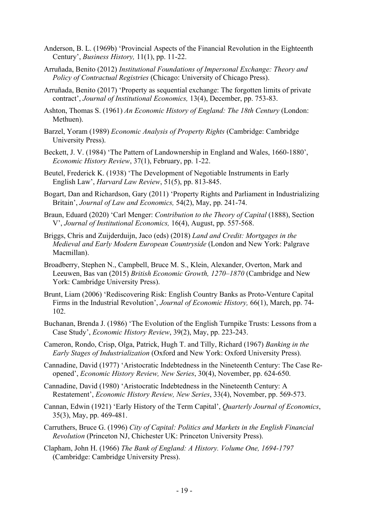- Anderson, B. L. (1969b) 'Provincial Aspects of the Financial Revolution in the Eighteenth Century', *Business History,* 11(1), pp. 11-22.
- Arruñada, Benito (2012) *Institutional Foundations of Impersonal Exchange: Theory and Policy of Contractual Registries* (Chicago: University of Chicago Press).
- Arruñada, Benito (2017) 'Property as sequential exchange: The forgotten limits of private contract', *Journal of Institutional Economics,* 13(4), December, pp. 753-83.
- Ashton, Thomas S. (1961) *An Economic History of England: The 18th Century* (London: Methuen).
- Barzel, Yoram (1989) *Economic Analysis of Property Rights* (Cambridge: Cambridge University Press).
- Beckett, J. V. (1984) 'The Pattern of Landownership in England and Wales, 1660-1880', *Economic History Review*, 37(1), February, pp. 1-22.
- Beutel, Frederick K. (1938) 'The Development of Negotiable Instruments in Early English Law', *Harvard Law Review*, 51(5), pp. 813-845.
- Bogart, Dan and Richardson, Gary (2011) 'Property Rights and Parliament in Industrializing Britain', *Journal of Law and Economics,* 54(2), May, pp. 241-74.
- Braun, Eduard (2020) 'Carl Menger: *Contribution to the Theory of Capital* (1888), Section V', *Journal of Institutional Economics,* 16(4), August, pp. 557-568.
- Briggs, Chris and Zuijderduijn, Jaco (eds) (2018) *Land and Credit: Mortgages in the Medieval and Early Modern European Countryside* (London and New York: Palgrave Macmillan).
- Broadberry, Stephen N., Campbell, Bruce M. S., Klein, Alexander, Overton, Mark and Leeuwen, Bas van (2015) *British Economic Growth, 1270–1870* (Cambridge and New York: Cambridge University Press).
- Brunt, Liam (2006) 'Rediscovering Risk: English Country Banks as Proto-Venture Capital Firms in the Industrial Revolution', *Journal of Economic History,* 66(1), March, pp. 74- 102.
- Buchanan, Brenda J. (1986) 'The Evolution of the English Turnpike Trusts: Lessons from a Case Study', *Economic History Review*, 39(2), May, pp. 223-243.
- Cameron, Rondo, Crisp, Olga, Patrick, Hugh T. and Tilly, Richard (1967) *Banking in the Early Stages of Industrialization* (Oxford and New York: Oxford University Press).
- Cannadine, David (1977) 'Aristocratic Indebtedness in the Nineteenth Century: The Case Reopened', *Economic History Review, New Series*, 30(4), November, pp. 624-650.
- Cannadine, David (1980) 'Aristocratic Indebtedness in the Nineteenth Century: A Restatement', *Economic History Review, New Series*, 33(4), November, pp. 569-573.
- Cannan, Edwin (1921) 'Early History of the Term Capital', *Quarterly Journal of Economics*, 35(3), May, pp. 469-481.
- Carruthers, Bruce G. (1996) *City of Capital: Politics and Markets in the English Financial Revolution* (Princeton NJ, Chichester UK: Princeton University Press).
- Clapham, John H. (1966) *The Bank of England: A History. Volume One, 1694-1797*  (Cambridge: Cambridge University Press).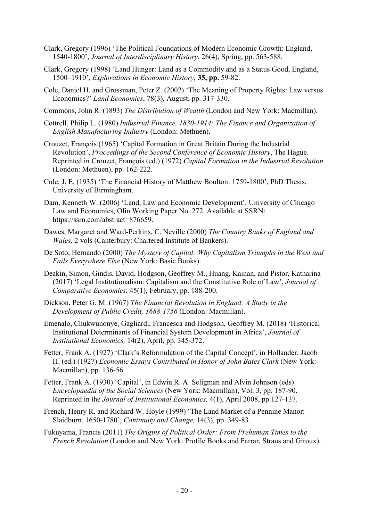- Clark, Gregory (1996) 'The Political Foundations of Modern Economic Growth: England, 1540-1800', *Journal of Interdisciplinary History*, 26(4), Spring, pp. 563-588.
- Clark, Gregory (1998) 'Land Hunger: Land as a Commodity and as a Status Good, England, 1500–1910', *Explorations in Economic History,* **35, pp.** 59-82.
- Cole, Daniel H. and Grossman, Peter Z. (2002) 'The Meaning of Property Rights: Law versus Economics?' *Land Economics*, 78(3), August, pp. 317-330.
- Commons, John R. (1893) *The Distribution of Wealth* (London and New York: Macmillan).
- Cottrell, Philip L. (1980) *Industrial Finance, 1830-1914: The Finance and Organization of English Manufacturing Industry* (London: Methuen).
- Crouzet, François (1965) 'Capital Formation in Great Britain During the Industrial Revolution', *Proceedings of the Second Conference of Economic History*, The Hague. Reprinted in Crouzet, François (ed.) (1972) *Capital Formation in the Industrial Revolution*  (London: Methuen), pp. 162-222.
- Cule, J. E. (1935) 'The Financial History of Matthew Boulton: 1759-1800', PhD Thesis, University of Birmingham.
- Dam, Kenneth W. (2006) 'Land, Law and Economic Development', University of Chicago Law and Economics, Olin Working Paper No. 272. Available at SSRN: https://ssrn.com/abstract=876659.
- Dawes, Margaret and Ward-Perkins, C. Neville (2000) *The Country Banks of England and Wales*, 2 vols (Canterbury: Chartered Institute of Bankers).
- De Soto, Hernando (2000) *The Mystery of Capital: Why Capitalism Triumphs in the West and Fails Everywhere Else* (New York: Basic Books).
- Deakin, Simon, Gindis, David, Hodgson, Geoffrey M., Huang, Kainan, and Pistor, Katharina (2017) 'Legal Institutionalism: Capitalism and the Constitutive Role of Law', *Journal of Comparative Economics,* 45(1), February, pp. 188-200.
- Dickson, Peter G. M. (1967) *The Financial Revolution in England: A Study in the Development of Public Credit, 1688-1756* (London: Macmillan).
- Emenalo, Chukwunonye, Gagliardi, Francesca and Hodgson, Geoffrey M. (2018) 'Historical Institutional Determinants of Financial System Development in Africa', *Journal of Institutional Economics,* 14(2), April, pp. 345-372.
- Fetter, Frank A. (1927) 'Clark's Reformulation of the Capital Concept', in Hollander, Jacob H. (ed.) (1927) *Economic Essays Contributed in Honor of John Bates Clark* (New York: Macmillan), pp. 136-56.
- Fetter, Frank A. (1930) 'Capital', in Edwin R. A. Seligman and Alvin Johnson (eds) *Encyclopaedia of the Social Sciences* (New York: Macmillan), Vol. 3, pp. 187-90. Reprinted in the *Journal of Institutional Economics,* 4(1), April 2008, pp.127-137.
- French, Henry R. and Richard W. Hoyle (1999) 'The Land Market of a Pennine Manor: Slaidburn, 1650-1780', *Continuity and Change,* 14(3), pp. 349-83.
- Fukuyama, Francis (2011) *The Origins of Political Order: From Prehuman Times to the French Revolution* (London and New York: Profile Books and Farrar, Straus and Giroux).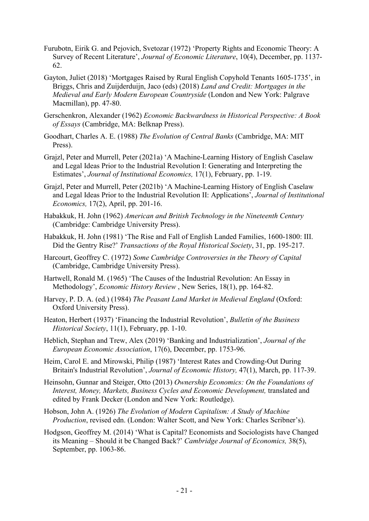- Furubotn, Eirik G. and Pejovich, Svetozar (1972) 'Property Rights and Economic Theory: A Survey of Recent Literature', *Journal of Economic Literature*, 10(4), December, pp. 1137- 62.
- Gayton, Juliet (2018) 'Mortgages Raised by Rural English Copyhold Tenants 1605-1735', in Briggs, Chris and Zuijderduijn, Jaco (eds) (2018) *Land and Credit: Mortgages in the Medieval and Early Modern European Countryside* (London and New York: Palgrave Macmillan), pp. 47-80.
- Gerschenkron, Alexander (1962) *Economic Backwardness in Historical Perspective: A Book of Essays* (Cambridge, MA: Belknap Press).
- Goodhart, Charles A. E. (1988) *The Evolution of Central Banks* (Cambridge, MA: MIT Press).
- Grajzl, Peter and Murrell, Peter (2021a) 'A Machine-Learning History of English Caselaw and Legal Ideas Prior to the Industrial Revolution I: Generating and Interpreting the Estimates', *Journal of Institutional Economics,* 17(1), February, pp. 1-19.
- Grajzl, Peter and Murrell, Peter (2021b) 'A Machine-Learning History of English Caselaw and Legal Ideas Prior to the Industrial Revolution II: Applications', *Journal of Institutional Economics,* 17(2), April, pp. 201-16.
- Habakkuk, H. John (1962) *American and British Technology in the Nineteenth Century* (Cambridge: Cambridge University Press).
- Habakkuk, H. John (1981) 'The Rise and Fall of English Landed Families, 1600-1800: III. Did the Gentry Rise?' *Transactions of the Royal Historical Society*, 31, pp. 195-217.
- Harcourt, Geoffrey C. (1972) *Some Cambridge Controversies in the Theory of Capital* (Cambridge, Cambridge University Press).
- Hartwell, Ronald M. (1965) 'The Causes of the Industrial Revolution: An Essay in Methodology', *Economic History Review* , New Series, 18(1), pp. 164-82.
- Harvey, P. D. A. (ed.) (1984) *The Peasant Land Market in Medieval England* (Oxford: Oxford University Press).
- Heaton, Herbert (1937) 'Financing the Industrial Revolution', *Bulletin of the Business Historical Society*, 11(1), February, pp. 1-10.
- Heblich, Stephan and Trew, Alex (2019) 'Banking and Industrialization', *Journal of the European Economic Association*, 17(6), December, pp. 1753-96.
- Heim, Carol E. and Mirowski, Philip (1987) 'Interest Rates and Crowding-Out During Britain's Industrial Revolution', *Journal of Economic History,* 47(1), March, pp. 117-39.
- Heinsohn, Gunnar and Steiger, Otto (2013) *Ownership Economics: On the Foundations of*  Interest, Money, Markets, Business Cycles and Economic Development, translated and edited by Frank Decker (London and New York: Routledge).
- Hobson, John A. (1926) *The Evolution of Modern Capitalism: A Study of Machine Production*, revised edn. (London: Walter Scott, and New York: Charles Scribner's).
- Hodgson, Geoffrey M. (2014) 'What is Capital? Economists and Sociologists have Changed its Meaning – Should it be Changed Back?' *Cambridge Journal of Economics,* 38(5), September, pp. 1063-86.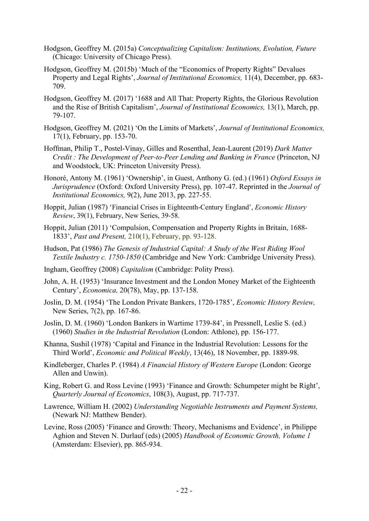- Hodgson, Geoffrey M. (2015a) *Conceptualizing Capitalism: Institutions, Evolution, Future*  (Chicago: University of Chicago Press).
- Hodgson, Geoffrey M. (2015b) 'Much of the "Economics of Property Rights" Devalues Property and Legal Rights', *Journal of Institutional Economics,* 11(4), December, pp. 683- 709.
- Hodgson, Geoffrey M. (2017) '1688 and All That: Property Rights, the Glorious Revolution and the Rise of British Capitalism', *Journal of Institutional Economics,* 13(1), March, pp. 79-107.
- Hodgson, Geoffrey M. (2021) 'On the Limits of Markets', *Journal of Institutional Economics,*  17(1), February, pp. 153-70.
- Hoffman, Philip T., Postel-Vinay, Gilles and Rosenthal, Jean-Laurent (2019) *Dark Matter Credit : The Development of Peer-to-Peer Lending and Banking in France* (Princeton, NJ and Woodstock, UK: Princeton University Press).
- Honoré, Antony M. (1961) 'Ownership', in Guest, Anthony G. (ed.) (1961) *Oxford Essays in Jurisprudence* (Oxford: Oxford University Press), pp. 107-47. Reprinted in the *Journal of Institutional Economics,* 9(2), June 2013, pp. 227-55.
- Hoppit, Julian (1987) 'Financial Crises in Eighteenth-Century England', *Economic History Review*, 39(1), February, New Series, 39-58.
- Hoppit, Julian (2011) 'Compulsion, Compensation and Property Rights in Britain, 1688- 1833', *Past and Present,* 210(1), February, pp. 93-128.
- Hudson, Pat (1986) *The Genesis of Industrial Capital: A Study of the West Riding Wool Textile Industry c. 1750-1850* (Cambridge and New York: Cambridge University Press).
- Ingham, Geoffrey (2008) *Capitalism* (Cambridge: Polity Press).
- John, A. H. (1953) 'Insurance Investment and the London Money Market of the Eighteenth Century', *Economica,* 20(78), May, pp. 137-158.
- Joslin, D. M. (1954) 'The London Private Bankers, 1720-1785', *Economic History Review,*  New Series, 7(2), pp. 167-86.
- Joslin, D. M. (1960) 'London Bankers in Wartime 1739-84', in Pressnell, Leslie S. (ed.) (1960) *Studies in the Industrial Revolution* (London: Athlone), pp. 156-177.
- Khanna, Sushil (1978) 'Capital and Finance in the Industrial Revolution: Lessons for the Third World', *Economic and Political Weekly*, 13(46), 18 November, pp. 1889-98.
- Kindleberger, Charles P. (1984) *A Financial History of Western Europe* (London: George Allen and Unwin).
- King, Robert G. and Ross Levine (1993) 'Finance and Growth: Schumpeter might be Right', *Quarterly Journal of Economics*, 108(3), August, pp. 717-737.
- Lawrence, William H. (2002) *Understanding Negotiable Instruments and Payment Systems,*  (Newark NJ: Matthew Bender).
- Levine, Ross (2005) 'Finance and Growth: Theory, Mechanisms and Evidence', in Philippe Aghion and Steven N. Durlauf (eds) (2005) *Handbook of Economic Growth, Volume 1* (Amsterdam: Elsevier), pp. 865-934.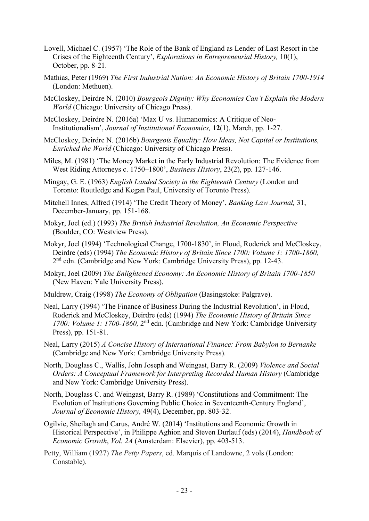- Lovell, Michael C. (1957) 'The Role of the Bank of England as Lender of Last Resort in the Crises of the Eighteenth Century', *Explorations in Entrepreneurial History,* 10(1), October, pp. 8-21.
- Mathias, Peter (1969) *The First Industrial Nation: An Economic History of Britain 1700-1914*  (London: Methuen).
- McCloskey, Deirdre N. (2010) *Bourgeois Dignity: Why Economics Can't Explain the Modern World* (Chicago: University of Chicago Press).
- McCloskey, Deirdre N. (2016a) 'Max U vs. Humanomics: A Critique of Neo-Institutionalism', *Journal of Institutional Economics,* **12**(1), March, pp. 1-27.
- McCloskey, Deirdre N. (2016b) *Bourgeois Equality: How Ideas, Not Capital or Institutions, Enriched the World* (Chicago: University of Chicago Press).
- Miles, M. (1981) 'The Money Market in the Early Industrial Revolution: The Evidence from West Riding Attorneys c. 1750–1800', *Business History*, 23(2), pp. 127-146.
- Mingay, G. E. (1963) *English Landed Society in the Eighteenth Century* (London and Toronto: Routledge and Kegan Paul, University of Toronto Press).
- Mitchell Innes, Alfred (1914) 'The Credit Theory of Money', *Banking Law Journal,* 31, December-January, pp. 151-168.
- Mokyr, Joel (ed.) (1993) *The British Industrial Revolution, An Economic Perspective* (Boulder, CO: Westview Press).
- Mokyr, Joel (1994) 'Technological Change, 1700-1830', in Floud, Roderick and McCloskey, Deirdre (eds) (1994) *The Economic History of Britain Since 1700: Volume 1: 1700-1860,*  2nd edn. (Cambridge and New York: Cambridge University Press), pp. 12-43.
- Mokyr, Joel (2009) *The Enlightened Economy: An Economic History of Britain 1700-1850* (New Haven: Yale University Press).
- Muldrew, Craig (1998) *The Economy of Obligation* (Basingstoke: Palgrave).
- Neal, Larry (1994) 'The Finance of Business During the Industrial Revolution', in Floud, Roderick and McCloskey, Deirdre (eds) (1994) *The Economic History of Britain Since 1700: Volume 1: 1700-1860,* 2nd edn. (Cambridge and New York: Cambridge University Press), pp. 151-81.
- Neal, Larry (2015) *A Concise History of International Finance: From Babylon to Bernanke* (Cambridge and New York: Cambridge University Press).
- North, Douglass C., Wallis, John Joseph and Weingast, Barry R. (2009) *Violence and Social Orders: A Conceptual Framework for Interpreting Recorded Human History* (Cambridge and New York: Cambridge University Press).
- North, Douglass C. and Weingast, Barry R. (1989) 'Constitutions and Commitment: The Evolution of Institutions Governing Public Choice in Seventeenth-Century England', *Journal of Economic History,* 49(4), December, pp. 803-32.
- Ogilvie, Sheilagh and Carus, André W. (2014) 'Institutions and Economic Growth in Historical Perspective', in Philippe Aghion and Steven Durlauf (eds) (2014), *Handbook of Economic Growth*, *Vol. 2A* (Amsterdam: Elsevier), pp. 403-513.
- Petty, William (1927) *The Petty Papers*, ed. Marquis of Landowne, 2 vols (London: Constable).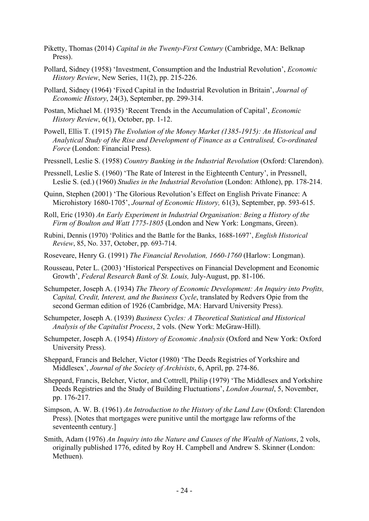- Piketty, Thomas (2014) *Capital in the Twenty-First Century* (Cambridge, MA: Belknap Press).
- Pollard, Sidney (1958) 'Investment, Consumption and the Industrial Revolution', *Economic History Review*, New Series, 11(2), pp. 215-226.
- Pollard, Sidney (1964) 'Fixed Capital in the Industrial Revolution in Britain', *Journal of Economic History*, 24(3), September, pp. 299-314.
- Postan, Michael M. (1935) 'Recent Trends in the Accumulation of Capital', *Economic History Review*, 6(1), October, pp. 1-12.
- Powell, Ellis T. (1915) *The Evolution of the Money Market (1385-1915): An Historical and Analytical Study of the Rise and Development of Finance as a Centralised, Co-ordinated Force* (London: Financial Press).
- Pressnell, Leslie S. (1958) *Country Banking in the Industrial Revolution* (Oxford: Clarendon).
- Pressnell, Leslie S. (1960) 'The Rate of Interest in the Eighteenth Century', in Pressnell, Leslie S. (ed.) (1960) *Studies in the Industrial Revolution* (London: Athlone), pp. 178-214.
- Quinn, Stephen (2001) 'The Glorious Revolution's Effect on English Private Finance: A Microhistory 1680-1705', *Journal of Economic History,* 61(3), September, pp. 593-615.
- Roll, Eric (1930) *An Early Experiment in Industrial Organisation: Being a History of the Firm of Boulton and Watt 1775-1805* (London and New York: Longmans, Green).
- Rubini, Dennis (1970) 'Politics and the Battle for the Banks, 1688-1697', *English Historical Review*, 85, No. 337, October, pp. 693-714.
- Roseveare, Henry G. (1991) *The Financial Revolution, 1660-1760* (Harlow: Longman).
- Rousseau, Peter L. (2003) 'Historical Perspectives on Financial Development and Economic Growth', *Federal Research Bank of St. Louis,* July-August, pp. 81-106.
- Schumpeter, Joseph A. (1934) *The Theory of Economic Development: An Inquiry into Profits, Capital, Credit, Interest, and the Business Cycle*, translated by Redvers Opie from the second German edition of 1926 (Cambridge, MA: Harvard University Press).
- Schumpeter, Joseph A. (1939) *Business Cycles: A Theoretical Statistical and Historical Analysis of the Capitalist Process*, 2 vols. (New York: McGraw-Hill).
- Schumpeter, Joseph A. (1954) *History of Economic Analysis* (Oxford and New York: Oxford University Press).
- Sheppard, Francis and Belcher, Victor (1980) 'The Deeds Registries of Yorkshire and Middlesex', *Journal of the Society of Archivists*, 6, April, pp. 274-86.
- Sheppard, Francis, Belcher, Victor, and Cottrell, Philip (1979) 'The Middlesex and Yorkshire Deeds Registries and the Study of Building Fluctuations', *London Journal*, 5, November, pp. 176-217.
- Simpson, A. W. B. (1961) *An Introduction to the History of the Land Law* (Oxford: Clarendon Press). [Notes that mortgages were punitive until the mortgage law reforms of the seventeenth century.]
- Smith, Adam (1976) *An Inquiry into the Nature and Causes of the Wealth of Nations*, 2 vols, originally published 1776, edited by Roy H. Campbell and Andrew S. Skinner (London: Methuen).